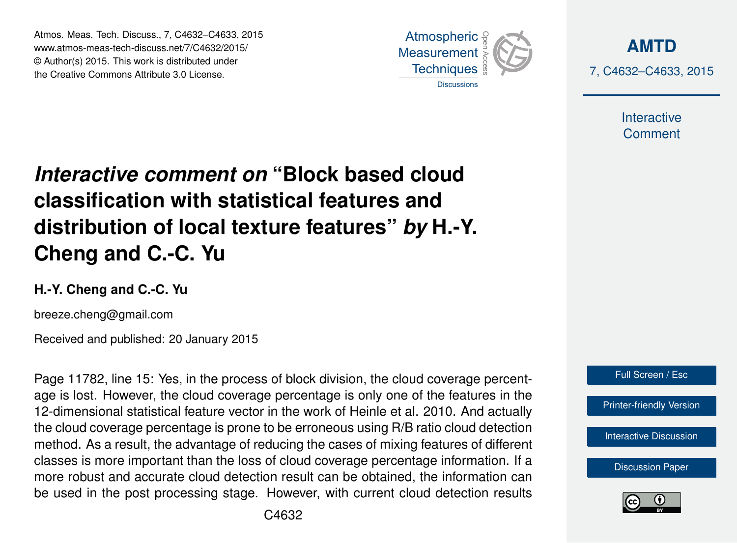Atmos. Meas. Tech. Discuss., 7, C4632–C4633, 2015 www.atmos-meas-tech-discuss.net/7/C4632/2015/ © Author(s) 2015. This work is distributed under the Creative Commons Attribute 3.0 License.



**[AMTD](http://www.atmos-meas-tech-discuss.net)** 7, C4632–C4633, 2015

> Interactive **Comment**

## *Interactive comment on* **"Block based cloud classification with statistical features and distribution of local texture features"** *by* **H.-Y. Cheng and C.-C. Yu**

## **H.-Y. Cheng and C.-C. Yu**

breeze.cheng@gmail.com

Received and published: 20 January 2015

Page 11782, line 15: Yes, in the process of block division, the cloud coverage percentage is lost. However, the cloud coverage percentage is only one of the features in the 12-dimensional statistical feature vector in the work of Heinle et al. 2010. And actually the cloud coverage percentage is prone to be erroneous using R/B ratio cloud detection method. As a result, the advantage of reducing the cases of mixing features of different classes is more important than the loss of cloud coverage percentage information. If a more robust and accurate cloud detection result can be obtained, the information can be used in the post processing stage. However, with current cloud detection results



**[Discussion Paper](http://www.atmos-meas-tech-discuss.net/7/11771/2014/amtd-7-11771-2014.pdf)**